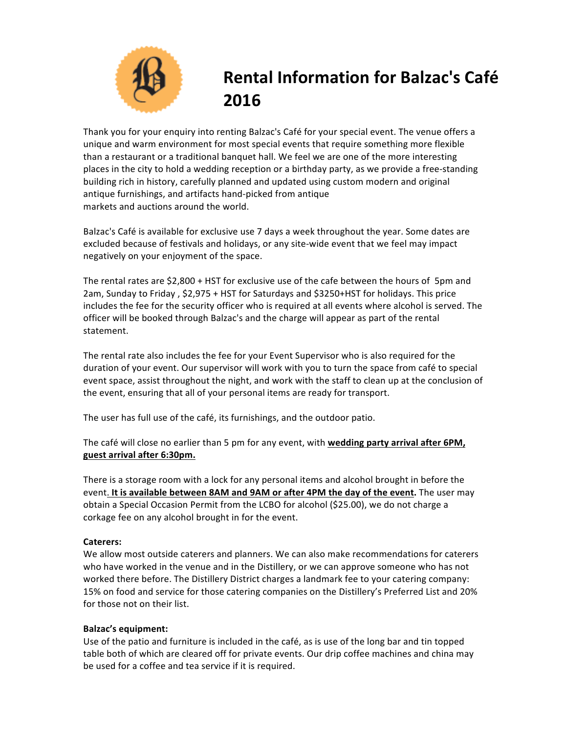

# **Rental Information for Balzac's Café 2016**

Thank you for your enquiry into renting Balzac's Café for your special event. The venue offers a unique and warm environment for most special events that require something more flexible than a restaurant or a traditional banquet hall. We feel we are one of the more interesting places in the city to hold a wedding reception or a birthday party, as we provide a free-standing building rich in history, carefully planned and updated using custom modern and original antique furnishings, and artifacts hand-picked from antique markets and auctions around the world.

Balzac's Café is available for exclusive use 7 days a week throughout the year. Some dates are excluded because of festivals and holidays, or any site-wide event that we feel may impact negatively on your enjoyment of the space.

The rental rates are \$2,800 + HST for exclusive use of the cafe between the hours of 5pm and 2am, Sunday to Friday, \$2,975 + HST for Saturdays and \$3250+HST for holidays. This price includes the fee for the security officer who is required at all events where alcohol is served. The officer will be booked through Balzac's and the charge will appear as part of the rental statement.

The rental rate also includes the fee for your Event Supervisor who is also required for the duration of your event. Our supervisor will work with you to turn the space from café to special event space, assist throughout the night, and work with the staff to clean up at the conclusion of the event, ensuring that all of your personal items are ready for transport.

The user has full use of the café, its furnishings, and the outdoor patio.

The café will close no earlier than 5 pm for any event, with **wedding party arrival after 6PM**, **guest arrival after 6:30pm.**

There is a storage room with a lock for any personal items and alcohol brought in before the event. It is available between 8AM and 9AM or after 4PM the day of the event. The user may obtain a Special Occasion Permit from the LCBO for alcohol (\$25.00), we do not charge a corkage fee on any alcohol brought in for the event.

## **Caterers:**

We allow most outside caterers and planners. We can also make recommendations for caterers who have worked in the venue and in the Distillery, or we can approve someone who has not worked there before. The Distillery District charges a landmark fee to your catering company: 15% on food and service for those catering companies on the Distillery's Preferred List and 20% for those not on their list.

## **Balzac's equipment:**

Use of the patio and furniture is included in the café, as is use of the long bar and tin topped table both of which are cleared off for private events. Our drip coffee machines and china may be used for a coffee and tea service if it is required.